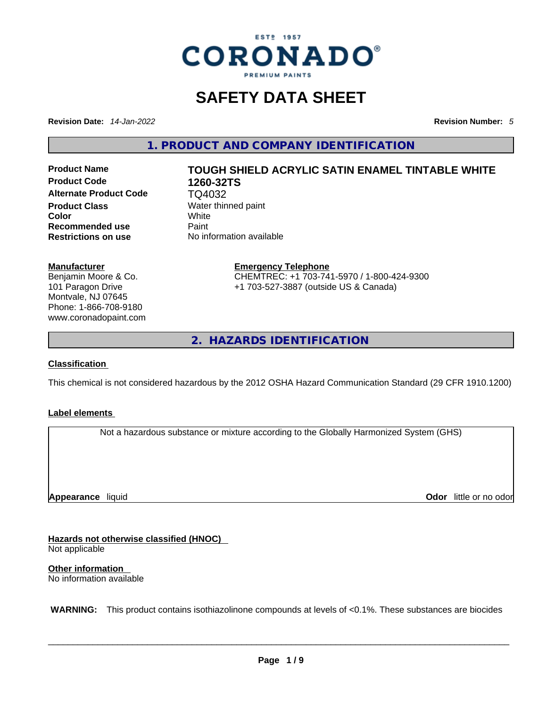

## **SAFETY DATA SHEET**

**Revision Date:** *14-Jan-2022* **Revision Number:** *5*

**1. PRODUCT AND COMPANY IDENTIFICATION** 

**Product Code 1260-32TS Alternate Product Code** TQ4032 **Product Class Water thinned paint**<br> **Color Color Color** White **Recommended use Paint Restrictions on use** No information available

# **Product Name TOUGH SHIELD ACRYLIC SATIN ENAMEL TINTABLE WHITE**

#### **Manufacturer**

Benjamin Moore & Co. 101 Paragon Drive Montvale, NJ 07645 Phone: 1-866-708-9180 www.coronadopaint.com

## **Emergency Telephone** CHEMTREC: +1 703-741-5970 / 1-800-424-9300

+1 703-527-3887 (outside US & Canada)

**2. HAZARDS IDENTIFICATION** 

#### **Classification**

This chemical is not considered hazardous by the 2012 OSHA Hazard Communication Standard (29 CFR 1910.1200)

#### **Label elements**

Not a hazardous substance or mixture according to the Globally Harmonized System (GHS)

**Appearance** liquid

**Odor** little or no odor

**Hazards not otherwise classified (HNOC)**  Not applicable

**Other information**  No information available

 **WARNING:** This product contains isothiazolinone compounds at levels of <0.1%. These substances are biocides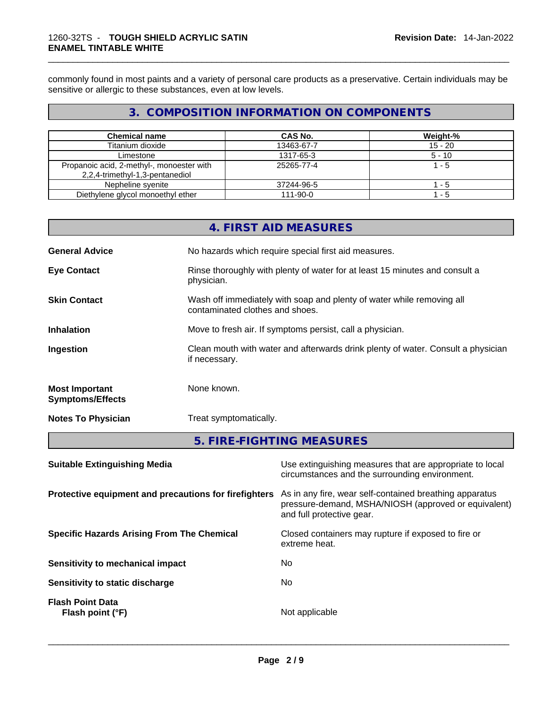commonly found in most paints and a variety of personal care products as a preservative. Certain individuals may be sensitive or allergic to these substances, even at low levels.

#### **3. COMPOSITION INFORMATION ON COMPONENTS**

| <b>Chemical name</b>                                                         | CAS No.        | Weight-%  |
|------------------------------------------------------------------------------|----------------|-----------|
| Titanium dioxide                                                             | 13463-67-7     | $15 - 20$ |
| Limestone                                                                    | 1317-65-3      | $5 - 10$  |
| Propanoic acid, 2-methyl-, monoester with<br>2,2,4-trimethyl-1,3-pentanediol | 25265-77-4     | $1 - 5$   |
| Nepheline syenite                                                            | 37244-96-5     | $1 - 5$   |
| Diethylene glycol monoethyl ether                                            | $111 - 90 - 0$ | $1 - 5$   |

|                                                  | 4. FIRST AID MEASURES                                                                                    |
|--------------------------------------------------|----------------------------------------------------------------------------------------------------------|
| <b>General Advice</b>                            | No hazards which require special first aid measures.                                                     |
| <b>Eye Contact</b>                               | Rinse thoroughly with plenty of water for at least 15 minutes and consult a<br>physician.                |
| <b>Skin Contact</b>                              | Wash off immediately with soap and plenty of water while removing all<br>contaminated clothes and shoes. |
| <b>Inhalation</b>                                | Move to fresh air. If symptoms persist, call a physician.                                                |
| Ingestion                                        | Clean mouth with water and afterwards drink plenty of water. Consult a physician<br>if necessary.        |
| <b>Most Important</b><br><b>Symptoms/Effects</b> | None known.                                                                                              |
| <b>Notes To Physician</b>                        | Treat symptomatically.                                                                                   |
|                                                  | 5. FIRE-FIGHTING MEASURES                                                                                |

| <b>Suitable Extinguishing Media</b>                   | Use extinguishing measures that are appropriate to local<br>circumstances and the surrounding environment.                                   |
|-------------------------------------------------------|----------------------------------------------------------------------------------------------------------------------------------------------|
| Protective equipment and precautions for firefighters | As in any fire, wear self-contained breathing apparatus<br>pressure-demand, MSHA/NIOSH (approved or equivalent)<br>and full protective gear. |
| <b>Specific Hazards Arising From The Chemical</b>     | Closed containers may rupture if exposed to fire or<br>extreme heat.                                                                         |
| Sensitivity to mechanical impact                      | No.                                                                                                                                          |
| Sensitivity to static discharge                       | No.                                                                                                                                          |
| <b>Flash Point Data</b><br>Flash point (°F)           | Not applicable                                                                                                                               |
|                                                       |                                                                                                                                              |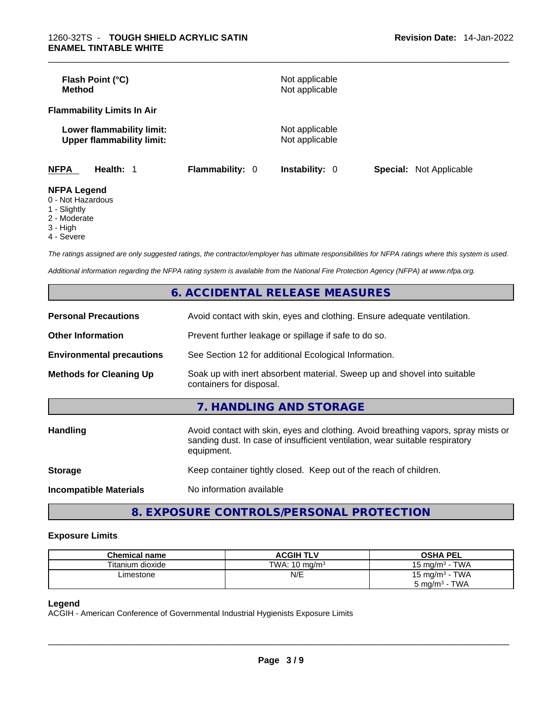| Flash Point (°C)<br><b>Method</b>               |                                                               |                        | Not applicable<br>Not applicable |                                |
|-------------------------------------------------|---------------------------------------------------------------|------------------------|----------------------------------|--------------------------------|
| <b>Flammability Limits In Air</b>               |                                                               |                        |                                  |                                |
|                                                 | Lower flammability limit:<br><b>Upper flammability limit:</b> |                        | Not applicable<br>Not applicable |                                |
| <b>NFPA</b>                                     | Health: 1                                                     | <b>Flammability: 0</b> | Instability: 0                   | <b>Special:</b> Not Applicable |
| <b>NFPA Legend</b><br>$\bigcap$ Niat Liamandaun |                                                               |                        |                                  |                                |

- 0 Not Hazardous
- 1 Slightly
- 2 Moderate
- 3 High
- 4 Severe

*The ratings assigned are only suggested ratings, the contractor/employer has ultimate responsibilities for NFPA ratings where this system is used.* 

*Additional information regarding the NFPA rating system is available from the National Fire Protection Agency (NFPA) at www.nfpa.org.* 

|                                  | <b>6. ACCIDENTAL RELEASE MEASURES</b>                                                                                                                                            |  |  |  |  |
|----------------------------------|----------------------------------------------------------------------------------------------------------------------------------------------------------------------------------|--|--|--|--|
| <b>Personal Precautions</b>      | Avoid contact with skin, eyes and clothing. Ensure adequate ventilation.                                                                                                         |  |  |  |  |
| <b>Other Information</b>         | Prevent further leakage or spillage if safe to do so.                                                                                                                            |  |  |  |  |
| <b>Environmental precautions</b> | See Section 12 for additional Ecological Information.                                                                                                                            |  |  |  |  |
| <b>Methods for Cleaning Up</b>   | Soak up with inert absorbent material. Sweep up and shovel into suitable<br>containers for disposal.                                                                             |  |  |  |  |
|                                  | 7. HANDLING AND STORAGE                                                                                                                                                          |  |  |  |  |
| <b>Handling</b>                  | Avoid contact with skin, eyes and clothing. Avoid breathing vapors, spray mists or<br>sanding dust. In case of insufficient ventilation, wear suitable respiratory<br>equipment. |  |  |  |  |
| <b>Storage</b>                   | Keep container tightly closed. Keep out of the reach of children.                                                                                                                |  |  |  |  |
| <b>Incompatible Materials</b>    | No information available                                                                                                                                                         |  |  |  |  |
|                                  |                                                                                                                                                                                  |  |  |  |  |

#### **8. EXPOSURE CONTROLS/PERSONAL PROTECTION**

#### **Exposure Limits**

| <b>Chemical name</b> | <b>ACGIH TLV</b>         | <b>OSHA PEL</b>                                              |
|----------------------|--------------------------|--------------------------------------------------------------|
| Titanium dioxide     | TWA: $10 \text{ ma/m}^3$ | <b>TWA</b><br>$15 \text{ ma/m}^3$                            |
| _imestone            | N/E                      | · TWA<br>15 mg/m <sup>3</sup><br>TWA<br>$5 \text{ ma/m}^3$ - |

#### **Legend**

ACGIH - American Conference of Governmental Industrial Hygienists Exposure Limits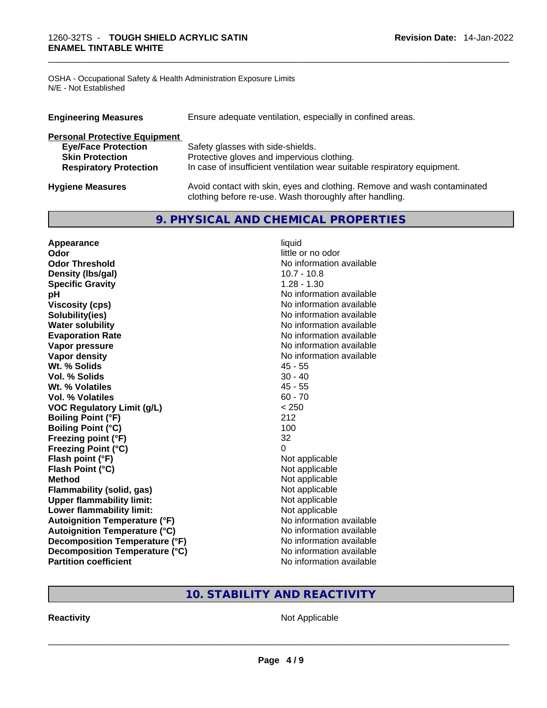OSHA - Occupational Safety & Health Administration Exposure Limits N/E - Not Established

| <b>Engineering Measures</b>          | Ensure adequate ventilation, especially in confined areas.                                                                          |
|--------------------------------------|-------------------------------------------------------------------------------------------------------------------------------------|
| <b>Personal Protective Equipment</b> |                                                                                                                                     |
| <b>Eye/Face Protection</b>           | Safety glasses with side-shields.                                                                                                   |
| <b>Skin Protection</b>               | Protective gloves and impervious clothing.                                                                                          |
| <b>Respiratory Protection</b>        | In case of insufficient ventilation wear suitable respiratory equipment.                                                            |
| <b>Hygiene Measures</b>              | Avoid contact with skin, eyes and clothing. Remove and wash contaminated<br>clothing before re-use. Wash thoroughly after handling. |

#### **9. PHYSICAL AND CHEMICAL PROPERTIES**

| Appearance                            | liquid                   |  |
|---------------------------------------|--------------------------|--|
| Odor                                  | little or no odor        |  |
| <b>Odor Threshold</b>                 | No information available |  |
| Density (Ibs/gal)                     | $10.7 - 10.8$            |  |
| <b>Specific Gravity</b>               | $1.28 - 1.30$            |  |
| рH                                    | No information available |  |
| <b>Viscosity (cps)</b>                | No information available |  |
| Solubility(ies)                       | No information available |  |
| <b>Water solubility</b>               | No information available |  |
| <b>Evaporation Rate</b>               | No information available |  |
| Vapor pressure                        | No information available |  |
| Vapor density                         | No information available |  |
| Wt. % Solids                          | $45 - 55$                |  |
| <b>Vol. % Solids</b>                  | $30 - 40$                |  |
| Wt. % Volatiles                       | $45 - 55$                |  |
| Vol. % Volatiles                      | $60 - 70$                |  |
| <b>VOC Regulatory Limit (g/L)</b>     | < 250                    |  |
| <b>Boiling Point (°F)</b>             | 212                      |  |
| <b>Boiling Point (°C)</b>             | 100                      |  |
| Freezing point (°F)                   | 32                       |  |
| <b>Freezing Point (°C)</b>            | $\Omega$                 |  |
| Flash point (°F)                      | Not applicable           |  |
| Flash Point (°C)                      | Not applicable           |  |
| <b>Method</b>                         | Not applicable           |  |
| Flammability (solid, gas)             | Not applicable           |  |
| <b>Upper flammability limit:</b>      | Not applicable           |  |
| Lower flammability limit:             | Not applicable           |  |
| <b>Autoignition Temperature (°F)</b>  | No information available |  |
| <b>Autoignition Temperature (°C)</b>  | No information available |  |
| <b>Decomposition Temperature (°F)</b> | No information available |  |
| Decomposition Temperature (°C)        | No information available |  |
| <b>Partition coefficient</b>          | No information available |  |

#### **10. STABILITY AND REACTIVITY**

**Reactivity** Not Applicable \_\_\_\_\_\_\_\_\_\_\_\_\_\_\_\_\_\_\_\_\_\_\_\_\_\_\_\_\_\_\_\_\_\_\_\_\_\_\_\_\_\_\_\_\_\_\_\_\_\_\_\_\_\_\_\_\_\_\_\_\_\_\_\_\_\_\_\_\_\_\_\_\_\_\_\_\_\_\_\_\_\_\_\_\_\_\_\_\_\_\_\_\_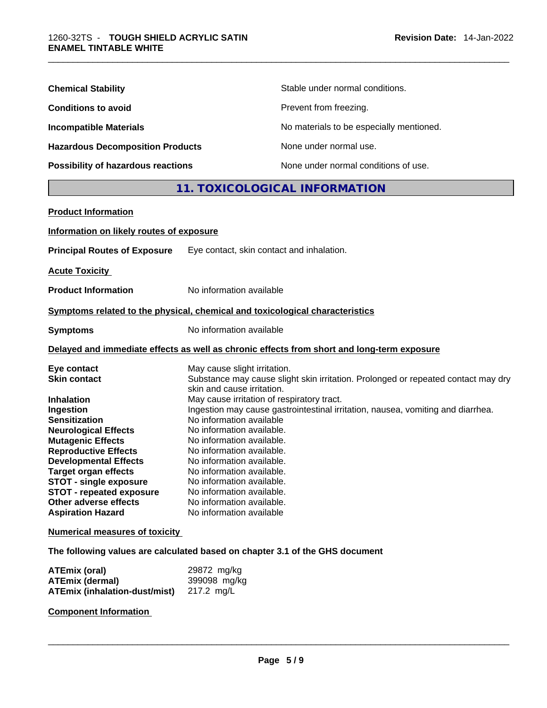| <b>Chemical Stability</b>               | Stable under normal conditions.          |
|-----------------------------------------|------------------------------------------|
| <b>Conditions to avoid</b>              | Prevent from freezing.                   |
| <b>Incompatible Materials</b>           | No materials to be especially mentioned. |
| <b>Hazardous Decomposition Products</b> | None under normal use.                   |
| Possibility of hazardous reactions      | None under normal conditions of use.     |

### **11. TOXICOLOGICAL INFORMATION**

| <b>Product Information</b>               |                                                                                            |
|------------------------------------------|--------------------------------------------------------------------------------------------|
| Information on likely routes of exposure |                                                                                            |
| <b>Principal Routes of Exposure</b>      | Eye contact, skin contact and inhalation.                                                  |
| <b>Acute Toxicity</b>                    |                                                                                            |
| <b>Product Information</b>               | No information available                                                                   |
|                                          | Symptoms related to the physical, chemical and toxicological characteristics               |
| <b>Symptoms</b>                          | No information available                                                                   |
|                                          | Delayed and immediate effects as well as chronic effects from short and long-term exposure |
| Eye contact                              | May cause slight irritation.                                                               |
| <b>Skin contact</b>                      | Substance may cause slight skin irritation. Prolonged or repeated contact may dry          |
|                                          | skin and cause irritation.                                                                 |
| <b>Inhalation</b>                        | May cause irritation of respiratory tract.                                                 |
| Ingestion                                | Ingestion may cause gastrointestinal irritation, nausea, vomiting and diarrhea.            |
| <b>Sensitization</b>                     | No information available                                                                   |
| <b>Neurological Effects</b>              | No information available.                                                                  |
| <b>Mutagenic Effects</b>                 | No information available.                                                                  |
| <b>Reproductive Effects</b>              | No information available.                                                                  |
| <b>Developmental Effects</b>             | No information available.                                                                  |
| <b>Target organ effects</b>              | No information available.                                                                  |
| <b>STOT - single exposure</b>            | No information available.                                                                  |
| <b>STOT - repeated exposure</b>          | No information available.                                                                  |
| Other adverse effects                    | No information available.                                                                  |
| <b>Aspiration Hazard</b>                 | No information available                                                                   |
| <b>Numerical measures of toxicity</b>    |                                                                                            |
|                                          | The following values are calculated based on chapter 3.1 of the GHS document               |

| <b>ATEmix (oral)</b>          | 29872 mg/kg  |
|-------------------------------|--------------|
| <b>ATEmix (dermal)</b>        | 399098 mg/kg |
| ATEmix (inhalation-dust/mist) | 217.2 ma/L   |

**Component Information**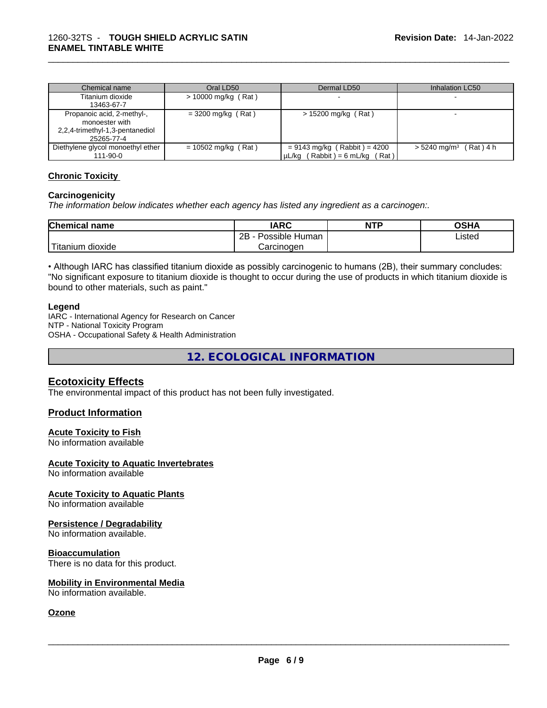| Chemical name                     | Oral LD50             | Dermal LD50                                 | Inhalation LC50                      |
|-----------------------------------|-----------------------|---------------------------------------------|--------------------------------------|
| Titanium dioxide                  | $> 10000$ mg/kg (Rat) |                                             |                                      |
| 13463-67-7                        |                       |                                             |                                      |
| Propanoic acid, 2-methyl-,        | $= 3200$ mg/kg (Rat)  | > 15200 mg/kg (Rat)                         |                                      |
| monoester with                    |                       |                                             |                                      |
| 2,2,4-trimethyl-1,3-pentanediol   |                       |                                             |                                      |
| 25265-77-4                        |                       |                                             |                                      |
| Diethylene glycol monoethyl ether | $= 10502$ mg/kg (Rat) | $= 9143$ mg/kg (Rabbit) = 4200              | $> 5240$ mg/m <sup>3</sup> (Rat) 4 h |
| 111-90-0                          |                       | $(Rabbit) = 6 ml/kg$<br>µL/ka (<br>$'$ Rat) |                                      |

#### **Chronic Toxicity**

#### **Carcinogenicity**

*The information below indicates whether each agency has listed any ingredient as a carcinogen:.* 

| <b>Chemical name</b>  | IARC                 | <b>NTP</b> | OSHA   |
|-----------------------|----------------------|------------|--------|
|                       | 2B<br>Possible Human |            | Listed |
| Titanium J<br>dioxide | Carcinogen           |            |        |

• Although IARC has classified titanium dioxide as possibly carcinogenic to humans (2B), their summary concludes: "No significant exposure to titanium dioxide is thought to occur during the use of products in which titanium dioxide is bound to other materials, such as paint."

#### **Legend**

IARC - International Agency for Research on Cancer NTP - National Toxicity Program OSHA - Occupational Safety & Health Administration

**12. ECOLOGICAL INFORMATION** 

#### **Ecotoxicity Effects**

The environmental impact of this product has not been fully investigated.

#### **Product Information**

#### **Acute Toxicity to Fish**

No information available

#### **Acute Toxicity to Aquatic Invertebrates**

No information available

#### **Acute Toxicity to Aquatic Plants**

No information available

#### **Persistence / Degradability**

No information available.

#### **Bioaccumulation**

There is no data for this product.

#### **Mobility in Environmental Media**

No information available. \_\_\_\_\_\_\_\_\_\_\_\_\_\_\_\_\_\_\_\_\_\_\_\_\_\_\_\_\_\_\_\_\_\_\_\_\_\_\_\_\_\_\_\_\_\_\_\_\_\_\_\_\_\_\_\_\_\_\_\_\_\_\_\_\_\_\_\_\_\_\_\_\_\_\_\_\_\_\_\_\_\_\_\_\_\_\_\_\_\_\_\_\_

#### **Ozone**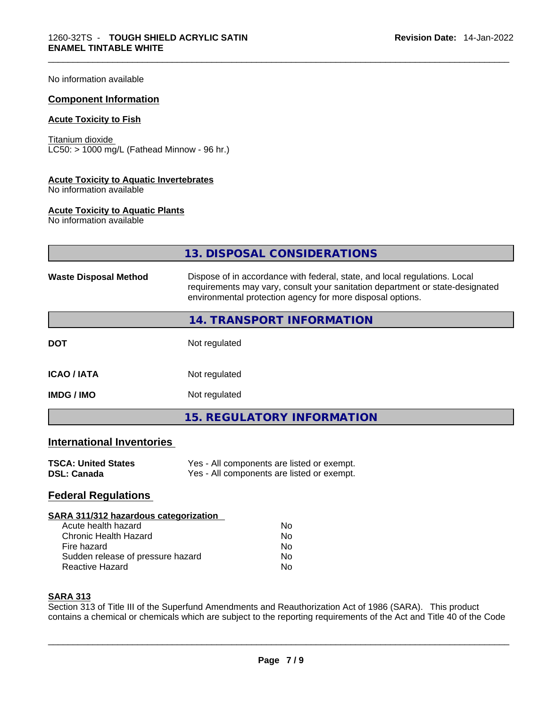No information available

#### **Component Information**

#### **Acute Toxicity to Fish**

Titanium dioxide  $LC50:$  > 1000 mg/L (Fathead Minnow - 96 hr.)

#### **Acute Toxicity to Aquatic Invertebrates**

No information available

#### **Acute Toxicity to Aquatic Plants**

No information available

|                              | 13. DISPOSAL CONSIDERATIONS                                                                                                                                                                                               |
|------------------------------|---------------------------------------------------------------------------------------------------------------------------------------------------------------------------------------------------------------------------|
| <b>Waste Disposal Method</b> | Dispose of in accordance with federal, state, and local regulations. Local<br>requirements may vary, consult your sanitation department or state-designated<br>environmental protection agency for more disposal options. |
|                              | 14. TRANSPORT INFORMATION                                                                                                                                                                                                 |
| <b>DOT</b>                   | Not regulated                                                                                                                                                                                                             |
| <b>ICAO / IATA</b>           | Not regulated                                                                                                                                                                                                             |
| <b>IMDG/IMO</b>              | Not regulated                                                                                                                                                                                                             |
|                              | <b>15. REGULATORY INFORMATION</b>                                                                                                                                                                                         |
|                              |                                                                                                                                                                                                                           |

#### **International Inventories**

| <b>TSCA: United States</b> | Yes - All components are listed or exempt. |
|----------------------------|--------------------------------------------|
| <b>DSL: Canada</b>         | Yes - All components are listed or exempt. |

#### **Federal Regulations**

#### **SARA 311/312 hazardous categorization**

| Acute health hazard               | N٥ |
|-----------------------------------|----|
| Chronic Health Hazard             | No |
| Fire hazard                       | N٥ |
| Sudden release of pressure hazard | No |
| Reactive Hazard                   | N٥ |

#### **SARA 313**

Section 313 of Title III of the Superfund Amendments and Reauthorization Act of 1986 (SARA). This product contains a chemical or chemicals which are subject to the reporting requirements of the Act and Title 40 of the Code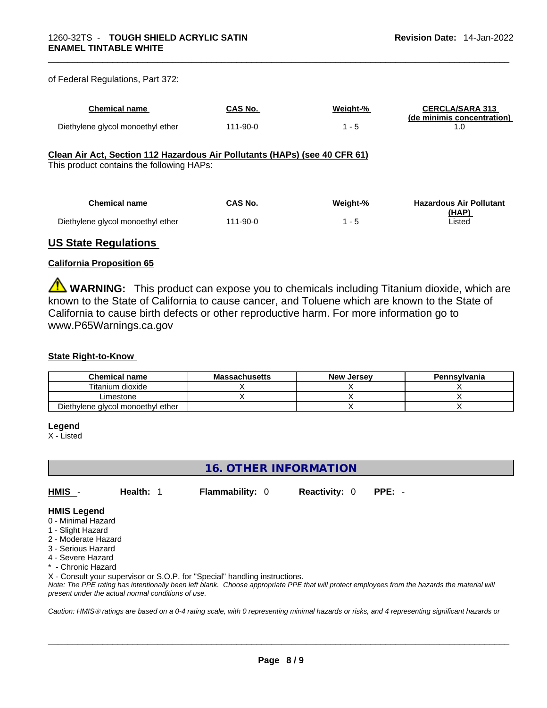| of Federal Regulations, Part 372: |  |
|-----------------------------------|--|
|-----------------------------------|--|

| <b>Chemical name</b>              | CAS No.       | Weight-% | <b>CERCLA/SARA 313</b><br>(de minimis concentration) |
|-----------------------------------|---------------|----------|------------------------------------------------------|
| Diethylene glycol monoethyl ether | $11 - 90 - 0$ |          |                                                      |

#### **Clean Air Act,Section 112 Hazardous Air Pollutants (HAPs) (see 40 CFR 61)**

This product contains the following HAPs:

| Chemical name                     | CAS No.  | Weight-% | <b>Hazardous Air Pollutant</b> |
|-----------------------------------|----------|----------|--------------------------------|
| Diethylene glycol monoethyl ether | 111-90-0 |          | (HAP)<br>∟isted                |

#### **US State Regulations**

#### **California Proposition 65**

**WARNING:** This product can expose you to chemicals including Titanium dioxide, which are known to the State of California to cause cancer, and Toluene which are known to the State of California to cause birth defects or other reproductive harm. For more information go to www.P65Warnings.ca.gov

#### **State Right-to-Know**

| Chemical name                     | <b>Massachusetts</b> | <b>New Jersey</b> | <b>Pennsylvania</b> |
|-----------------------------------|----------------------|-------------------|---------------------|
| Titanium dioxide                  |                      |                   |                     |
| ∟imestone                         |                      |                   |                     |
| Diethylene glycol monoethyl ether |                      |                   |                     |

#### **Legend**

X - Listed

#### **16. OTHER INFORMATION**

**HMIS** - **Health:** 1 **Flammability:** 0 **Reactivity:** 0 **PPE:** -

#### **HMIS Legend**

- 0 Minimal Hazard
- 1 Slight Hazard
- 2 Moderate Hazard
- 3 Serious Hazard
- 4 Severe Hazard
- \* Chronic Hazard

X - Consult your supervisor or S.O.P. for "Special" handling instructions.

Note: The PPE rating has intentionally been left blank. Choose appropriate PPE that will protect employees from the hazards the material will *present under the actual normal conditions of use.* 

*Caution: HMISÒ ratings are based on a 0-4 rating scale, with 0 representing minimal hazards or risks, and 4 representing significant hazards or*